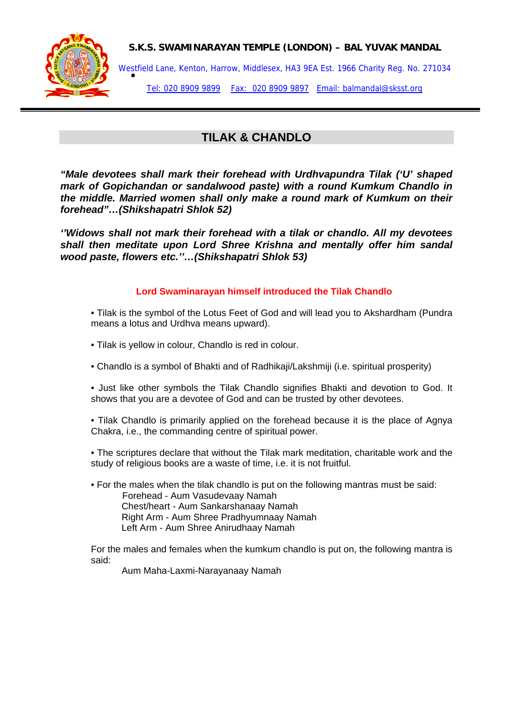



Westfield Lane, Kenton, Harrow, Middlesex, HA3 9EA Est. 1966 Charity Reg. No. 271034<br>● Tel: 020 8909 9899 Fax: 020 8909 9897 Email: balmandal@sksst.org

# **TILAK & CHANDLO**

*"Male devotees shall mark their forehead with Urdhvapundra Tilak ('U' shaped mark of Gopichandan or sandalwood paste) with a round Kumkum Chandlo in the middle. Married women shall only make a round mark of Kumkum on their forehead"…(Shikshapatri Shlok 52)* 

*''Widows shall not mark their forehead with a tilak or chandlo. All my devotees shall then meditate upon Lord Shree Krishna and mentally offer him sandal wood paste, flowers etc.''…(Shikshapatri Shlok 53)* 

#### **Lord Swaminarayan himself introduced the Tilak Chandlo**

- Tilak is the symbol of the Lotus Feet of God and will lead you to Akshardham (Pundra means a lotus and Urdhva means upward).
- Tilak is yellow in colour, Chandlo is red in colour.
- Chandlo is a symbol of Bhakti and of Radhikaji/Lakshmiji (i.e. spiritual prosperity)
- Just like other symbols the Tilak Chandlo signifies Bhakti and devotion to God. It shows that you are a devotee of God and can be trusted by other devotees.
- Tilak Chandlo is primarily applied on the forehead because it is the place of Agnya Chakra, i.e., the commanding centre of spiritual power.
- The scriptures declare that without the Tilak mark meditation, charitable work and the study of religious books are a waste of time, i.e. it is not fruitful.
- For the males when the tilak chandlo is put on the following mantras must be said: Forehead - Aum Vasudevaay Namah Chest/heart - Aum Sankarshanaay Namah Right Arm - Aum Shree Pradhyumnaay Namah Left Arm - Aum Shree Anirudhaay Namah

For the males and females when the kumkum chandlo is put on, the following mantra is said:

Aum Maha-Laxmi-Narayanaay Namah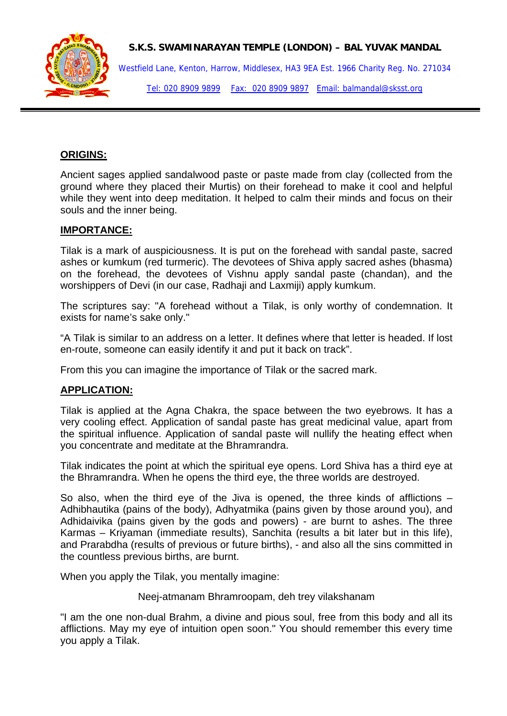

Westfield Lane, Kenton, Harrow, Middlesex, HA3 9EA Est. 1966 Charity Reg. No. 271034 Tel: 020 8909 9899 Fax: 020 8909 9897 Email: balmandal@sksst.org

## **ORIGINS:**

Ancient sages applied sandalwood paste or paste made from clay (collected from the ground where they placed their Murtis) on their forehead to make it cool and helpful while they went into deep meditation. It helped to calm their minds and focus on their souls and the inner being.

#### **IMPORTANCE:**

Tilak is a mark of auspiciousness. It is put on the forehead with sandal paste, sacred ashes or kumkum (red turmeric). The devotees of Shiva apply sacred ashes (bhasma) on the forehead, the devotees of Vishnu apply sandal paste (chandan), and the worshippers of Devi (in our case, Radhaji and Laxmiji) apply kumkum.

The scriptures say: "A forehead without a Tilak, is only worthy of condemnation. It exists for name's sake only."

"A Tilak is similar to an address on a letter. It defines where that letter is headed. If lost en-route, someone can easily identify it and put it back on track".

From this you can imagine the importance of Tilak or the sacred mark.

## **APPLICATION:**

Tilak is applied at the Agna Chakra, the space between the two eyebrows. It has a very cooling effect. Application of sandal paste has great medicinal value, apart from the spiritual influence. Application of sandal paste will nullify the heating effect when you concentrate and meditate at the Bhramrandra.

Tilak indicates the point at which the spiritual eye opens. Lord Shiva has a third eye at the Bhramrandra. When he opens the third eye, the three worlds are destroyed.

So also, when the third eye of the Jiva is opened, the three kinds of afflictions – Adhibhautika (pains of the body), Adhyatmika (pains given by those around you), and Adhidaivika (pains given by the gods and powers) - are burnt to ashes. The three Karmas – Kriyaman (immediate results), Sanchita (results a bit later but in this life), and Prarabdha (results of previous or future births), - and also all the sins committed in the countless previous births, are burnt.

When you apply the Tilak, you mentally imagine:

Neej-atmanam Bhramroopam, deh trey vilakshanam

"I am the one non-dual Brahm, a divine and pious soul, free from this body and all its afflictions. May my eye of intuition open soon." You should remember this every time you apply a Tilak.